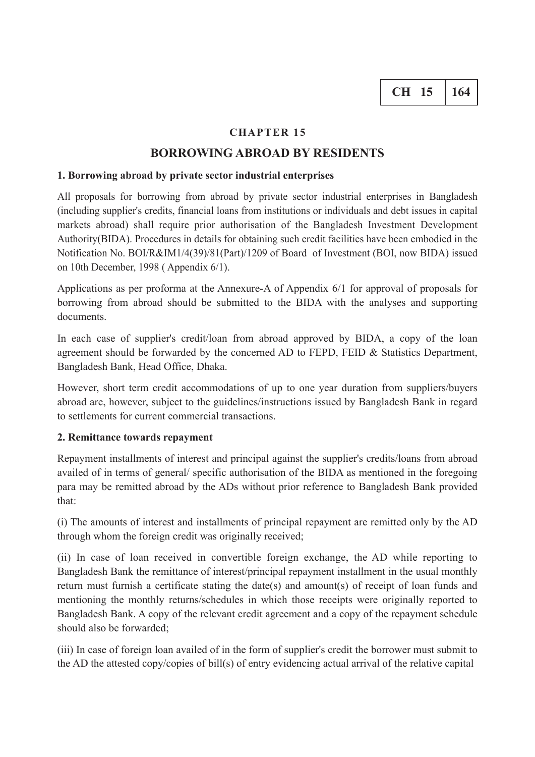## **CHAPTER 15**

## **BORROWING ABROAD BY RESIDENTS**

### **1. Borrowing abroad by private sector industrial enterprises**

All proposals for borrowing from abroad by private sector industrial enterprises in Bangladesh (including supplier's credits, financial loans from institutions or individuals and debt issues in capital markets abroad) shall require prior authorisation of the Bangladesh Investment Development Authority(BIDA). Procedures in details for obtaining such credit facilities have been embodied in the Notification No. BOI/R&IM1/4(39)/81(Part)/1209 of Board of Investment (BOI, now BIDA) issued on 10th December, 1998 ( Appendix 6/1).

Applications as per proforma at the Annexure-A of Appendix 6/1 for approval of proposals for borrowing from abroad should be submitted to the BIDA with the analyses and supporting documents.

In each case of supplier's credit/loan from abroad approved by BIDA, a copy of the loan agreement should be forwarded by the concerned AD to FEPD, FEID & Statistics Department, Bangladesh Bank, Head Office, Dhaka.

However, short term credit accommodations of up to one year duration from suppliers/buyers abroad are, however, subject to the guidelines/instructions issued by Bangladesh Bank in regard to settlements for current commercial transactions.

### **2. Remittance towards repayment**

Repayment installments of interest and principal against the supplier's credits/loans from abroad availed of in terms of general/ specific authorisation of the BIDA as mentioned in the foregoing para may be remitted abroad by the ADs without prior reference to Bangladesh Bank provided that:

(i) The amounts of interest and installments of principal repayment are remitted only by the AD through whom the foreign credit was originally received;

(ii) In case of loan received in convertible foreign exchange, the AD while reporting to Bangladesh Bank the remittance of interest/principal repayment installment in the usual monthly return must furnish a certificate stating the date(s) and amount(s) of receipt of loan funds and mentioning the monthly returns/schedules in which those receipts were originally reported to Bangladesh Bank. A copy of the relevant credit agreement and a copy of the repayment schedule should also be forwarded;

(iii) In case of foreign loan availed of in the form of supplier's credit the borrower must submit to the AD the attested copy/copies of bill(s) of entry evidencing actual arrival of the relative capital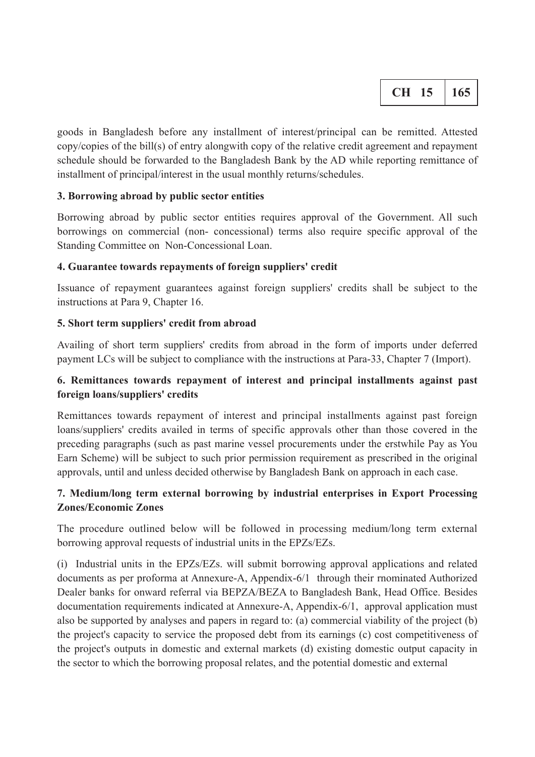|  |  | 165 |
|--|--|-----|
|--|--|-----|

goods in Bangladesh before any installment of interest/principal can be remitted. Attested copy/copies of the bill(s) of entry alongwith copy of the relative credit agreement and repayment schedule should be forwarded to the Bangladesh Bank by the AD while reporting remittance of installment of principal/interest in the usual monthly returns/schedules.

## **3. Borrowing abroad by public sector entities**

Borrowing abroad by public sector entities requires approval of the Government. All such borrowings on commercial (non- concessional) terms also require specific approval of the Standing Committee on Non-Concessional Loan.

## **4. Guarantee towards repayments of foreign suppliers' credit**

Issuance of repayment guarantees against foreign suppliers' credits shall be subject to the instructions at Para 9, Chapter 16.

## **5. Short term suppliers' credit from abroad**

Availing of short term suppliers' credits from abroad in the form of imports under deferred payment LCs will be subject to compliance with the instructions at Para-33, Chapter 7 (Import).

# **6. Remittances towards repayment of interest and principal installments against past foreign loans/suppliers' credits**

Remittances towards repayment of interest and principal installments against past foreign loans/suppliers' credits availed in terms of specific approvals other than those covered in the preceding paragraphs (such as past marine vessel procurements under the erstwhile Pay as You Earn Scheme) will be subject to such prior permission requirement as prescribed in the original approvals, until and unless decided otherwise by Bangladesh Bank on approach in each case.

# **7. Medium/long term external borrowing by industrial enterprises in Export Processing Zones/Economic Zones**

The procedure outlined below will be followed in processing medium/long term external borrowing approval requests of industrial units in the EPZs/EZs.

(i) Industrial units in the EPZs/EZs. will submit borrowing approval applications and related documents as per proforma at Annexure-A, Appendix-6/1 through their rnominated Authorized Dealer banks for onward referral via BEPZA/BEZA to Bangladesh Bank, Head Office. Besides documentation requirements indicated at Annexure-A, Appendix-6/1, approval application must also be supported by analyses and papers in regard to: (a) commercial viability of the project (b) the project's capacity to service the proposed debt from its earnings (c) cost competitiveness of the project's outputs in domestic and external markets (d) existing domestic output capacity in the sector to which the borrowing proposal relates, and the potential domestic and external